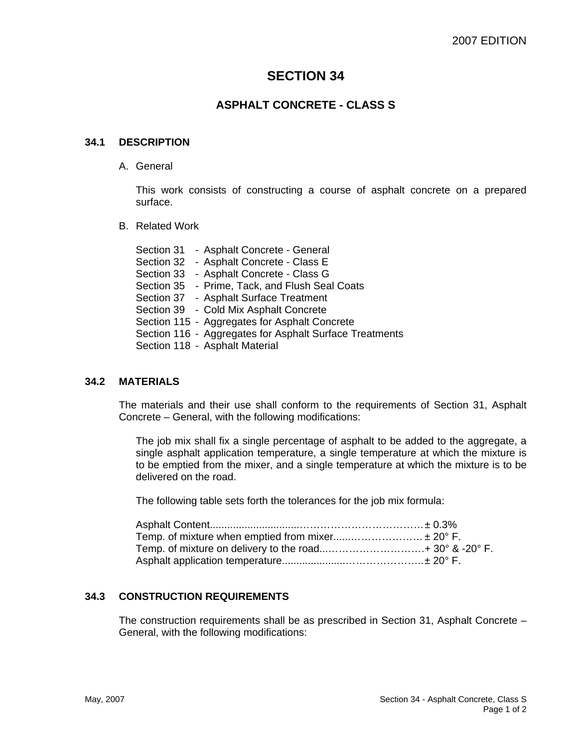# **SECTION 34**

## **ASPHALT CONCRETE - CLASS S**

#### **34.1 DESCRIPTION**

A. General

This work consists of constructing a course of asphalt concrete on a prepared surface.

B. Related Work

Section 31 - Asphalt Concrete - General Section 32 - Asphalt Concrete - Class E Section 33 - Asphalt Concrete - Class G Section 35 - Prime, Tack, and Flush Seal Coats Section 37 - Asphalt Surface Treatment Section 39 - Cold Mix Asphalt Concrete Section 115 - Aggregates for Asphalt Concrete Section 116 - Aggregates for Asphalt Surface Treatments Section 118 - Asphalt Material

#### **34.2 MATERIALS**

The materials and their use shall conform to the requirements of Section 31, Asphalt Concrete – General, with the following modifications:

The job mix shall fix a single percentage of asphalt to be added to the aggregate, a single asphalt application temperature, a single temperature at which the mixture is to be emptied from the mixer, and a single temperature at which the mixture is to be delivered on the road.

The following table sets forth the tolerances for the job mix formula:

| Temp. of mixture when emptied from mixer ± 20° F. |  |
|---------------------------------------------------|--|
|                                                   |  |
|                                                   |  |

#### **34.3 CONSTRUCTION REQUIREMENTS**

The construction requirements shall be as prescribed in Section 31, Asphalt Concrete – General, with the following modifications: